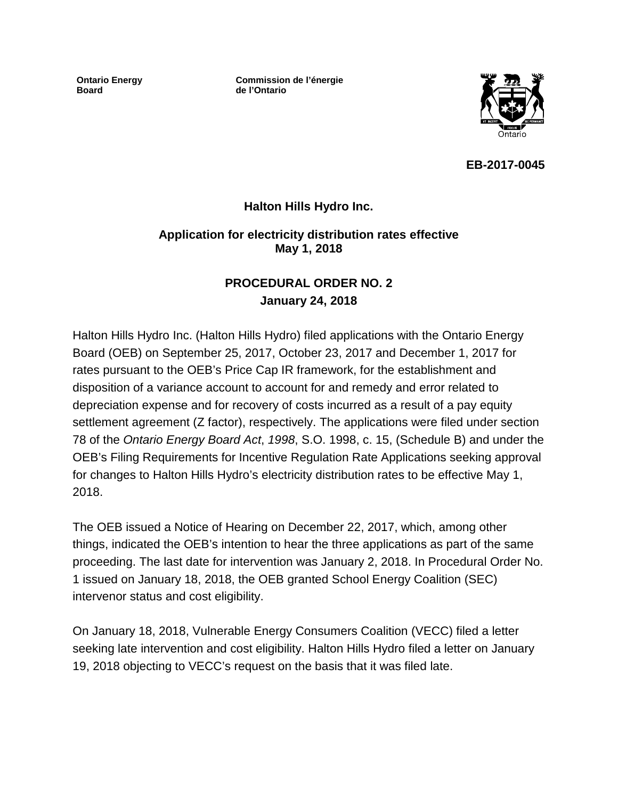**Ontario Energy Board**

**Commission de l'énergie de l'Ontario**



**EB-2017-0045**

# **Halton Hills Hydro Inc.**

## **Application for electricity distribution rates effective May 1, 2018**

# **PROCEDURAL ORDER NO. 2 January 24, 2018**

Halton Hills Hydro Inc. (Halton Hills Hydro) filed applications with the Ontario Energy Board (OEB) on September 25, 2017, October 23, 2017 and December 1, 2017 for rates pursuant to the OEB's Price Cap IR framework, for the establishment and disposition of a variance account to account for and remedy and error related to depreciation expense and for recovery of costs incurred as a result of a pay equity settlement agreement (Z factor), respectively. The applications were filed under section 78 of the *Ontario Energy Board Act*, *1998*, S.O. 1998, c. 15, (Schedule B) and under the OEB's Filing Requirements for Incentive Regulation Rate Applications seeking approval for changes to Halton Hills Hydro's electricity distribution rates to be effective May 1, 2018.

The OEB issued a Notice of Hearing on December 22, 2017, which, among other things, indicated the OEB's intention to hear the three applications as part of the same proceeding. The last date for intervention was January 2, 2018. In Procedural Order No. 1 issued on January 18, 2018, the OEB granted School Energy Coalition (SEC) intervenor status and cost eligibility.

On January 18, 2018, Vulnerable Energy Consumers Coalition (VECC) filed a letter seeking late intervention and cost eligibility. Halton Hills Hydro filed a letter on January 19, 2018 objecting to VECC's request on the basis that it was filed late.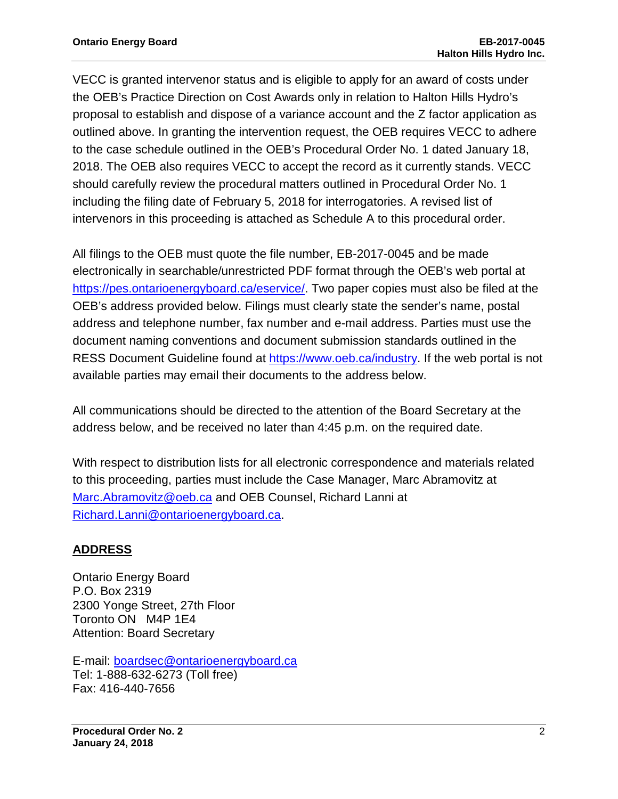VECC is granted intervenor status and is eligible to apply for an award of costs under the OEB's Practice Direction on Cost Awards only in relation to Halton Hills Hydro's proposal to establish and dispose of a variance account and the Z factor application as outlined above. In granting the intervention request, the OEB requires VECC to adhere to the case schedule outlined in the OEB's Procedural Order No. 1 dated January 18, 2018. The OEB also requires VECC to accept the record as it currently stands. VECC should carefully review the procedural matters outlined in Procedural Order No. 1 including the filing date of February 5, 2018 for interrogatories. A revised list of intervenors in this proceeding is attached as Schedule A to this procedural order.

All filings to the OEB must quote the file number, EB-2017-0045 and be made electronically in searchable/unrestricted PDF format through the OEB's web portal at [https://pes.ontarioenergyboard.ca/eservice/.](https://pes.ontarioenergyboard.ca/eservice/) Two paper copies must also be filed at the OEB's address provided below. Filings must clearly state the sender's name, postal address and telephone number, fax number and e-mail address. Parties must use the document naming conventions and document submission standards outlined in the RESS Document Guideline found at [https://www.oeb.ca/industry.](https://www.oeb.ca/industry) If the web portal is not available parties may email their documents to the address below.

All communications should be directed to the attention of the Board Secretary at the address below, and be received no later than 4:45 p.m. on the required date.

With respect to distribution lists for all electronic correspondence and materials related to this proceeding, parties must include the Case Manager, Marc Abramovitz at [Marc.Abramovitz@oeb.ca](mailto:Kelli.Benincasa@ontarioenergyboard.ca) and OEB Counsel, Richard Lanni at [Richard.Lanni@ontarioenergyboard.ca.](mailto:Richard.Lanni@ontarioenergyboard.ca)

# **ADDRESS**

Ontario Energy Board P.O. Box 2319 2300 Yonge Street, 27th Floor Toronto ON M4P 1E4 Attention: Board Secretary

E-mail: [boardsec@ontarioenergyboard.ca](mailto:boardsec@ontarioenergyboard.ca) Tel: 1-888-632-6273 (Toll free) Fax: 416-440-7656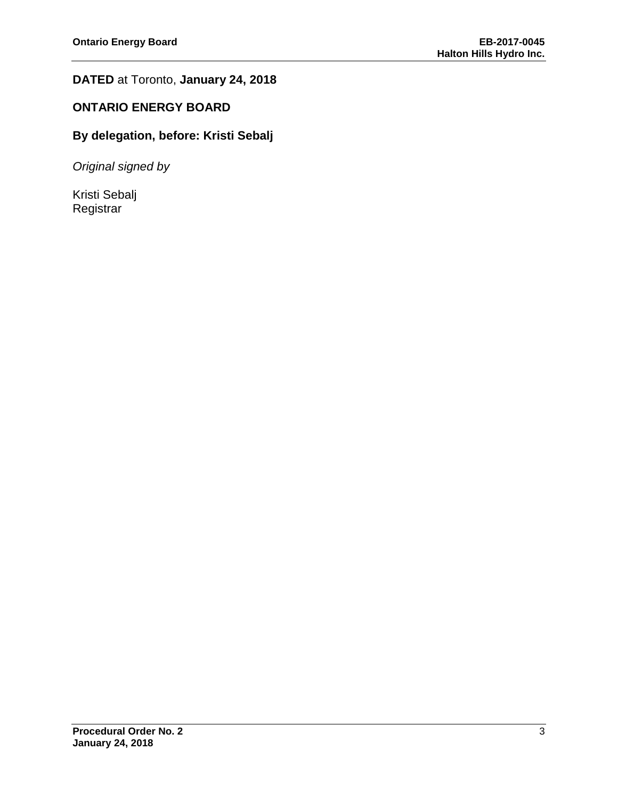# **DATED** at Toronto, **January 24, 2018**

# **ONTARIO ENERGY BOARD**

# **By delegation, before: Kristi Sebalj**

*Original signed by*

Kristi Sebalj Registrar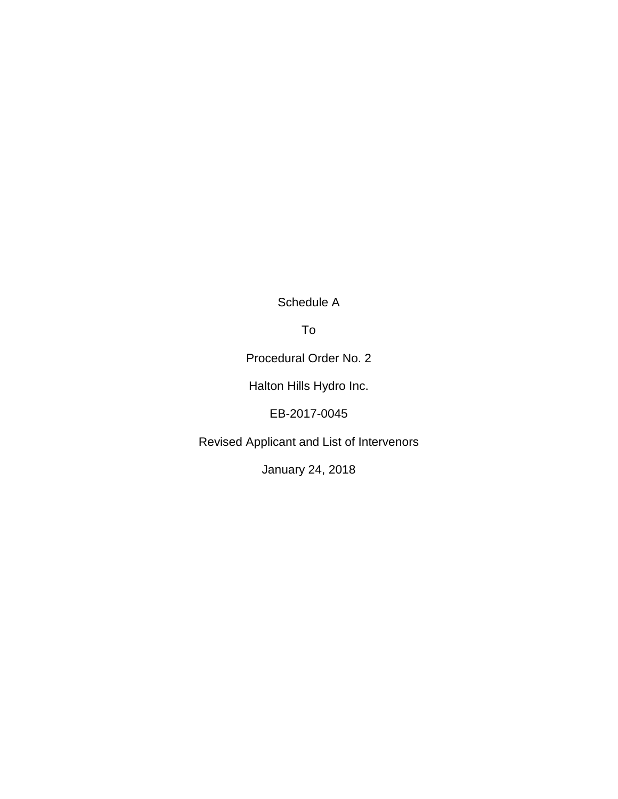Schedule A

To

Procedural Order No. 2

Halton Hills Hydro Inc.

EB-2017-0045

Revised Applicant and List of Intervenors

January 24, 2018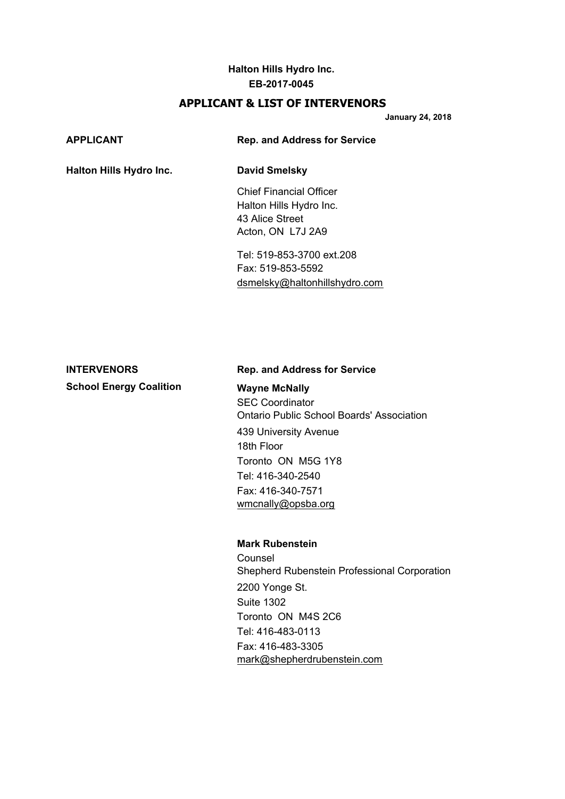### **Halton Hills Hydro Inc. EB-2017-0045**

### **APPLICANT & LIST OF INTERVENORS**

**January 24, 2018**

| APPLICANT                      | <b>Rep. and Address for Service</b>                                                               |  |
|--------------------------------|---------------------------------------------------------------------------------------------------|--|
| <b>Halton Hills Hydro Inc.</b> | <b>David Smelsky</b>                                                                              |  |
|                                | <b>Chief Financial Officer</b><br>Halton Hills Hydro Inc.<br>43 Alice Street<br>Acton, ON L7J 2A9 |  |
|                                | Tel: 519-853-3700 ext.208<br>Fax: 519-853-5592                                                    |  |

# **School Energy Coalition Wayne McNally**

### **INTERVENORS Rep. and Address for Service**

[dsmelsky@haltonhillshydro.com](mailto:dsmelsky@haltonhillshydro.com)

SEC Coordinator Ontario Public School Boards' Association 439 University Avenue 18th Floor Toronto ON M5G 1Y8 Tel: 416-340-2540 Fax: 416-340-7571 [wmcnally@opsba.org](mailto:wmcnally@opsba.org)

### **Mark Rubenstein**

Counsel Shepherd Rubenstein Professional Corporation 2200 Yonge St. Suite 1302 Toronto ON M4S 2C6 Tel: 416-483-0113 Fax: 416-483-3305 [mark@shepherdrubenstein.com](mailto:mark@shepherdrubenstein.com)